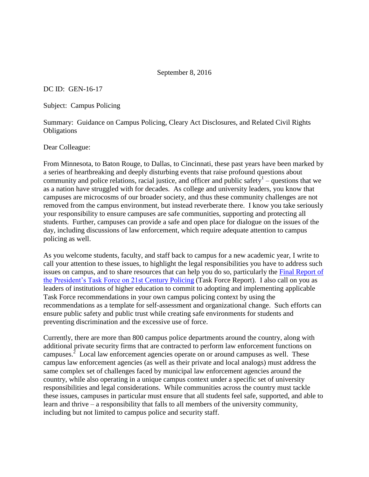## September 8, 2016

DC ID: GEN-16-17

Subject: Campus Policing

Summary: Guidance on Campus Policing, Cleary Act Disclosures, and Related Civil Rights **Obligations** 

Dear Colleague:

From Minnesota, to Baton Rouge, to Dallas, to Cincinnati, these past years have been marked by a series of heartbreaking and deeply disturbing events that raise profound questions about community and police relations, racial justice, and officer and public safety $\frac{1}{2}$  – questions that we as a nation have struggled with for decades. As college and university leaders, you know that campuses are microcosms of our broader society, and thus these community challenges are not removed from the campus environment, but instead reverberate there. I know you take seriously your responsibility to ensure campuses are safe communities, supporting and protecting all students. Further, campuses can provide a safe and open place for dialogue on the issues of the day, including discussions of law enforcement, which require adequate attention to campus policing as well.

As you welcome students, faculty, and staff back to campus for a new academic year, I write to call your attention to these issues, to highlight the legal responsibilities you have to address such issues on campus, and to share resources that can help you do so, particularly the [Final Report of](http://www.cops.usdoj.gov/pdf/taskforce/taskforce_finalreport.pdf)  [the President's Task Force on 21st Century Policing](http://www.cops.usdoj.gov/pdf/taskforce/taskforce_finalreport.pdf) (Task Force Report). I also call on you as leaders of institutions of higher education to commit to adopting and implementing applicable Task Force recommendations in your own campus policing context by using the recommendations as a template for self-assessment and organizational change. Such efforts can ensure public safety and public trust while creating safe environments for students and preventing discrimination and the excessive use of force.

Currently, there are more than 800 campus police departments around the country, along with additional private security firms that are contracted to perform law enforcement functions on campuses.<sup>2</sup> Local law enforcement agencies operate on or around campuses as well. These campus law enforcement agencies (as well as their private and local analogs) must address the same complex set of challenges faced by municipal law enforcement agencies around the country, while also operating in a unique campus context under a specific set of university responsibilities and legal considerations. While communities across the country must tackle these issues, campuses in particular must ensure that all students feel safe, supported, and able to learn and thrive – a responsibility that falls to all members of the university community, including but not limited to campus police and security staff.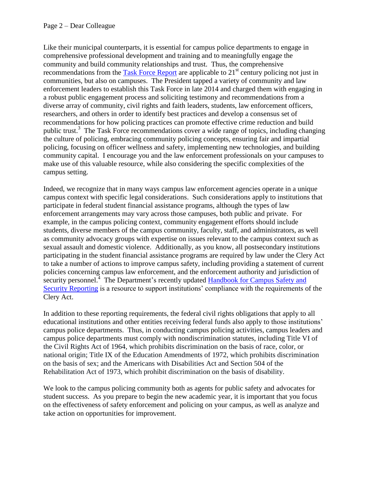Like their municipal counterparts, it is essential for campus police departments to engage in comprehensive professional development and training and to meaningfully engage the community and build community relationships and trust. Thus, the comprehensive recommendations from the [Task Force Report](http://www.cops.usdoj.gov/pdf/taskforce/taskforce_finalreport.pdf) are applicable to  $21<sup>st</sup>$  century policing not just in communities, but also on campuses. The President tapped a variety of community and law enforcement leaders to establish this Task Force in late 2014 and charged them with engaging in a robust public engagement process and soliciting testimony and recommendations from a diverse array of community, civil rights and faith leaders, students, law enforcement officers, researchers, and others in order to identify best practices and develop a consensus set of recommendations for how policing practices can promote effective crime reduction and build public trust.<sup>3</sup> The Task Force recommendations cover a wide range of topics, including changing the culture of policing, embracing community policing concepts, ensuring fair and impartial policing, focusing on officer wellness and safety, implementing new technologies, and building community capital. I encourage you and the law enforcement professionals on your campuses to make use of this valuable resource, while also considering the specific complexities of the campus setting.

Indeed, we recognize that in many ways campus law enforcement agencies operate in a unique campus context with specific legal considerations. Such considerations apply to institutions that participate in federal student financial assistance programs, although the types of law enforcement arrangements may vary across those campuses, both public and private. For example, in the campus policing context, community engagement efforts should include students, diverse members of the campus community, faculty, staff, and administrators, as well as community advocacy groups with expertise on issues relevant to the campus context such as sexual assault and domestic violence. Additionally, as you know, all postsecondary institutions participating in the student financial assistance programs are required by law under the Clery Act to take a number of actions to improve campus safety, including providing a statement of current policies concerning campus law enforcement, and the enforcement authority and jurisdiction of security personnel.<sup>4</sup> The Department's recently updated **Handbook for Campus Safety and** [Security Reporting](https://www2.ed.gov/admins/lead/safety/handbook.pdf) is a resource to support institutions' compliance with the requirements of the Clery Act.

In addition to these reporting requirements, the federal civil rights obligations that apply to all educational institutions and other entities receiving federal funds also apply to those institutions' campus police departments. Thus, in conducting campus policing activities, campus leaders and campus police departments must comply with nondiscrimination statutes, including Title VI of the Civil Rights Act of 1964, which prohibits discrimination on the basis of race, color, or national origin; Title IX of the Education Amendments of 1972, which prohibits discrimination on the basis of sex; and the Americans with Disabilities Act and Section 504 of the Rehabilitation Act of 1973, which prohibit discrimination on the basis of disability.

We look to the campus policing community both as agents for public safety and advocates for student success. As you prepare to begin the new academic year, it is important that you focus on the effectiveness of safety enforcement and policing on your campus, as well as analyze and take action on opportunities for improvement.